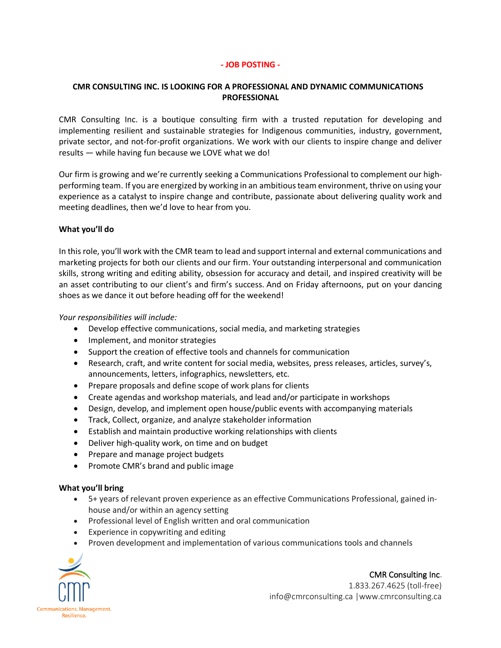### **- JOB POSTING -**

# **CMR CONSULTING INC. IS LOOKING FOR A PROFESSIONAL AND DYNAMIC COMMUNICATIONS PROFESSIONAL**

CMR Consulting Inc. is a boutique consulting firm with a trusted reputation for developing and implementing resilient and sustainable strategies for Indigenous communities, industry, government, private sector, and not-for-profit organizations. We work with our clients to inspire change and deliver results — while having fun because we LOVE what we do!

Our firm is growing and we're currently seeking a Communications Professional to complement our highperforming team. If you are energized by working in an ambitiousteam environment, thrive on using your experience as a catalyst to inspire change and contribute, passionate about delivering quality work and meeting deadlines, then we'd love to hear from you.

# **What you'll do**

In this role, you'll work with the CMR team to lead and support internal and external communications and marketing projects for both our clients and our firm. Your outstanding interpersonal and communication skills, strong writing and editing ability, obsession for accuracy and detail, and inspired creativity will be an asset contributing to our client's and firm's success. And on Friday afternoons, put on your dancing shoes as we dance it out before heading off for the weekend!

### *Your responsibilities will include:*

- Develop effective communications, social media, and marketing strategies
- Implement, and monitor strategies
- Support the creation of effective tools and channels for communication
- Research, craft, and write content for social media, websites, press releases, articles, survey's, announcements, letters, infographics, newsletters, etc.
- Prepare proposals and define scope of work plans for clients
- Create agendas and workshop materials, and lead and/or participate in workshops
- Design, develop, and implement open house/public events with accompanying materials
- Track, Collect, organize, and analyze stakeholder information
- Establish and maintain productive working relationships with clients
- Deliver high-quality work, on time and on budget
- Prepare and manage project budgets
- Promote CMR's brand and public image

### **What you'll bring**

- 5+ years of relevant proven experience as an effective Communications Professional, gained inhouse and/or within an agency setting
- Professional level of English written and oral communication
- Experience in copywriting and editing
- Proven development and implementation of various communications tools and channels



CMR Consulting Inc. 1.833.267.4625 (toll-free) info@cmrconsulting.ca |www.cmrconsulting.ca